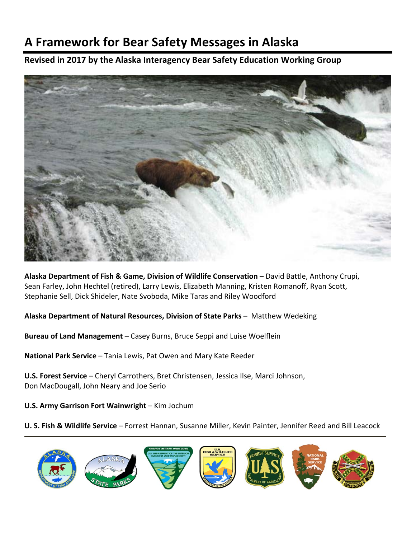# **A Framework for Bear Safety Messages in Alaska**

# **Revised in 2017 by the Alaska Interagency Bear Safety Education Working Group**



**Alaska Department of Fish & Game, Division of Wildlife Conservation** – David Battle, Anthony Crupi, Sean Farley, John Hechtel (retired), Larry Lewis, Elizabeth Manning, Kristen Romanoff, Ryan Scott, Stephanie Sell, Dick Shideler, Nate Svoboda, Mike Taras and Riley Woodford

**Alaska Department of Natural Resources, Division of State Parks** – Matthew Wedeking

**Bureau of Land Management** – Casey Burns, Bruce Seppi and Luise Woelflein

**National Park Service** – Tania Lewis, Pat Owen and Mary Kate Reeder

**U.S. Forest Service** – Cheryl Carrothers, Bret Christensen, Jessica Ilse, Marci Johnson, Don MacDougall, John Neary and Joe Serio

**U.S. Army Garrison Fort Wainwright** – Kim Jochum

**U. S. Fish & Wildlife Service** – Forrest Hannan, Susanne Miller, Kevin Painter, Jennifer Reed and Bill Leacock

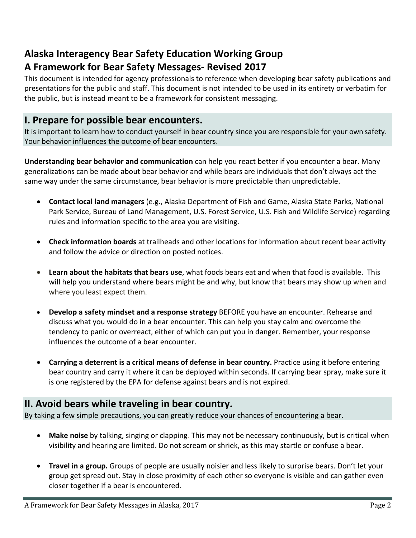# **Alaska Interagency Bear Safety Education Working Group A Framework for Bear Safety Messages‐ Revised 2017**

This document is intended for agency professionals to reference when developing bear safety publications and presentations for the public and staff. This document is not intended to be used in its entirety or verbatim for the public, but is instead meant to be a framework for consistent messaging.

# **I. Prepare for possible bear encounters.**

It is important to learn how to conduct yourself in bear country since you are responsible for your own safety. Your behavior influences the outcome of bear encounters.

**Understanding bear behavior and communication** can help you react better if you encounter a bear. Many generalizations can be made about bear behavior and while bears are individuals that don't always act the same way under the same circumstance, bear behavior is more predictable than unpredictable.

- **Contact local land managers** (e.g., Alaska Department of Fish and Game, Alaska State Parks, National Park Service, Bureau of Land Management, U.S. Forest Service, U.S. Fish and Wildlife Service) regarding rules and information specific to the area you are visiting.
- **Check information boards** at trailheads and other locations for information about recent bear activity and follow the advice or direction on posted notices.
- **Learn about the habitats that bears use**, what foods bears eat and when that food is available. This will help you understand where bears might be and why, but know that bears may show up when and where you least expect them.
- **Develop a safety mindset and a response strategy** BEFORE you have an encounter. Rehearse and discuss what you would do in a bear encounter. This can help you stay calm and overcome the tendency to panic or overreact, either of which can put you in danger. Remember, your response influences the outcome of a bear encounter.
- **Carrying a deterrent is a critical means of defense in bear country.** Practice using it before entering bear country and carry it where it can be deployed within seconds. If carrying bear spray, make sure it is one registered by the EPA for defense against bears and is not expired.

# **II. Avoid bears while traveling in bear country.**

By taking a few simple precautions, you can greatly reduce your chances of encountering a bear.

- **Make noise** by talking, singing or clapping. This may not be necessary continuously, but is critical when visibility and hearing are limited. Do not scream or shriek, as this may startle or confuse a bear.
- **Travel in a group.** Groups of people are usually noisier and less likely to surprise bears. Don't let your group get spread out. Stay in close proximity of each other so everyone is visible and can gather even closer together if a bear is encountered.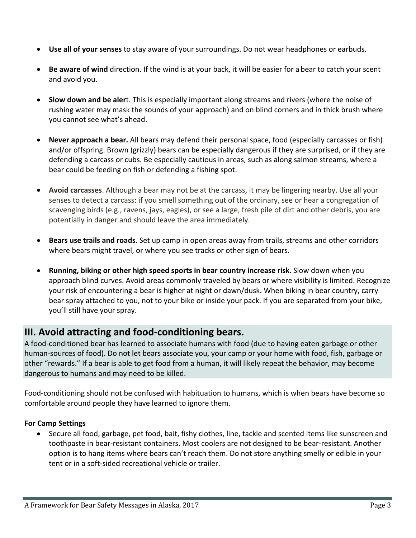- **Use all of your senses** to stay aware of your surroundings. Do not wear headphones or earbuds.
- **Be aware of wind** direction. If the wind is at your back, it will be easier for a bear to catch your scent and avoid you.
- **Slow down and be aler**t. This is especially important along streams and rivers (where the noise of rushing water may mask the sounds of your approach) and on blind corners and in thick brush where you cannot see what's ahead.
- **Never approach a bear.** All bears may defend their personal space, food (especially carcasses or fish) and/or offspring. Brown (grizzly) bears can be especially dangerous if they are surprised, or if they are defending a carcass or cubs. Be especially cautious in areas, such as along salmon streams, where a bear could be feeding on fish or defending a fishing spot.
- **Avoid carcasses**. Although a bear may not be at the carcass, it may be lingering nearby. Use all your senses to detect a carcass: if you smell something out of the ordinary, see or hear a congregation of scavenging birds (e.g., ravens, jays, eagles), or see a large, fresh pile of dirt and other debris, you are potentially in danger and should leave the area immediately.
- **Bears use trails and roads**. Set up camp in open areas away from trails, streams and other corridors where bears might travel, or where you see tracks or other sign of bears.
- **Running, biking or other high speed sports in bear country increase risk**. Slow down when you approach blind curves. Avoid areas commonly traveled by bears or where visibility is limited. Recognize your risk of encountering a bear is higher at night or dawn/dusk. When biking in bear country, carry bear spray attached to you, not to your bike or inside your pack. If you are separated from your bike, you'll still have your spray.

# **III. Avoid attracting and food‐conditioning bears.**

A food‐conditioned bear has learned to associate humans with food (due to having eaten garbage or other human‐sources of food). Do not let bears associate you, your camp or your home with food, fish, garbage or other "rewards." If a bear is able to get food from a human, it will likely repeat the behavior, may become dangerous to humans and may need to be killed.

Food‐conditioning should not be confused with habituation to humans, which is when bears have become so comfortable around people they have learned to ignore them.

# **For Camp Settings**

• Secure all food, garbage, pet food, bait, fishy clothes, line, tackle and scented items like sunscreen and toothpaste in bear‐resistant containers. Most coolers are not designed to be bear‐resistant. Another option is to hang items where bears can't reach them. Do not store anything smelly or edible in your tent or in a soft‐sided recreational vehicle or trailer.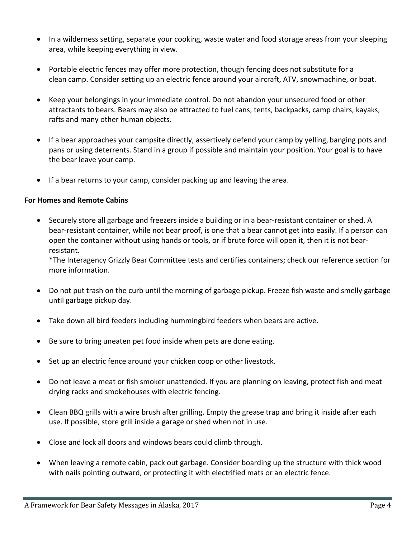- In a wilderness setting, separate your cooking, waste water and food storage areas from your sleeping area, while keeping everything in view.
- Portable electric fences may offer more protection, though fencing does not substitute for a clean camp. Consider setting up an electric fence around your aircraft, ATV, snowmachine, or boat.
- Keep your belongings in your immediate control. Do not abandon your unsecured food or other attractants to bears. Bears may also be attracted to fuel cans, tents, backpacks, camp chairs, kayaks, rafts and many other human objects.
- If a bear approaches your campsite directly, assertively defend your camp by yelling, banging pots and pans or using deterrents. Stand in a group if possible and maintain your position. Your goal is to have the bear leave your camp.
- If a bear returns to your camp, consider packing up and leaving the area.

### **For Homes and Remote Cabins**

 Securely store all garbage and freezers inside a building or in a bear‐resistant container or shed. A bear-resistant container, while not bear proof, is one that a bear cannot get into easily. If a person can open the container without using hands or tools, or if brute force will open it, then it is not bear‐ resistant.

\*The Interagency Grizzly Bear Committee tests and certifies containers; check our reference section for more information.

- Do not put trash on the curb until the morning of garbage pickup. Freeze fish waste and smelly garbage until garbage pickup day.
- Take down all bird feeders including hummingbird feeders when bears are active.
- Be sure to bring uneaten pet food inside when pets are done eating.
- Set up an electric fence around your chicken coop or other livestock.
- Do not leave a meat or fish smoker unattended. If you are planning on leaving, protect fish and meat drying racks and smokehouses with electric fencing.
- Clean BBQ grills with a wire brush after grilling. Empty the grease trap and bring it inside after each use. If possible, store grill inside a garage or shed when not in use.
- Close and lock all doors and windows bears could climb through.
- When leaving a remote cabin, pack out garbage. Consider boarding up the structure with thick wood with nails pointing outward, or protecting it with electrified mats or an electric fence.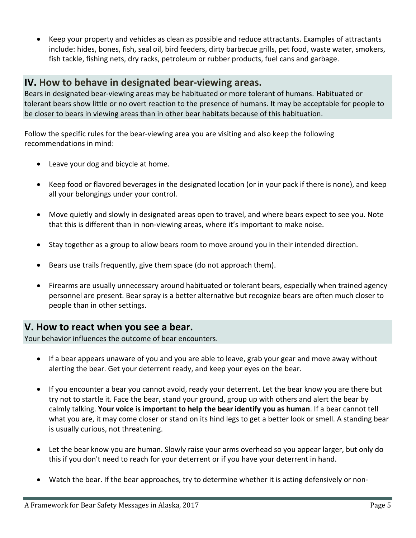Keep your property and vehicles as clean as possible and reduce attractants. Examples of attractants include: hides, bones, fish, seal oil, bird feeders, dirty barbecue grills, pet food, waste water, smokers, fish tackle, fishing nets, dry racks, petroleum or rubber products, fuel cans and garbage.

# **IV. How to behave in designated bear‐viewing areas.**

Bears in designated bear‐viewing areas may be habituated or more tolerant of humans. Habituated or tolerant bears show little or no overt reaction to the presence of humans. It may be acceptable for people to be closer to bears in viewing areas than in other bear habitats because of this habituation.

Follow the specific rules for the bear‐viewing area you are visiting and also keep the following recommendations in mind:

- Leave your dog and bicycle at home.
- Keep food or flavored beverages in the designated location (or in your pack if there is none), and keep all your belongings under your control.
- Move quietly and slowly in designated areas open to travel, and where bears expect to see you. Note that this is different than in non‐viewing areas, where it's important to make noise.
- Stay together as a group to allow bears room to move around you in their intended direction.
- Bears use trails frequently, give them space (do not approach them).
- Firearms are usually unnecessary around habituated or tolerant bears, especially when trained agency personnel are present. Bear spray is a better alternative but recognize bears are often much closer to people than in other settings.

# **V. How to react when you see a bear.**

Your behavior influences the outcome of bear encounters.

- If a bear appears unaware of you and you are able to leave, grab your gear and move away without alerting the bear. Get your deterrent ready, and keep your eyes on the bear.
- If you encounter a bear you cannot avoid, ready your deterrent. Let the bear know you are there but try not to startle it. Face the bear, stand your ground, group up with others and alert the bear by calmly talking. **Your voice is importan**t **to help the bear identify you as human**. If a bear cannot tell what you are, it may come closer or stand on its hind legs to get a better look or smell. A standing bear is usually curious, not threatening.
- Let the bear know you are human. Slowly raise your arms overhead so you appear larger, but only do this if you don't need to reach for your deterrent or if you have your deterrent in hand.
- Watch the bear. If the bear approaches, try to determine whether it is acting defensively or non‐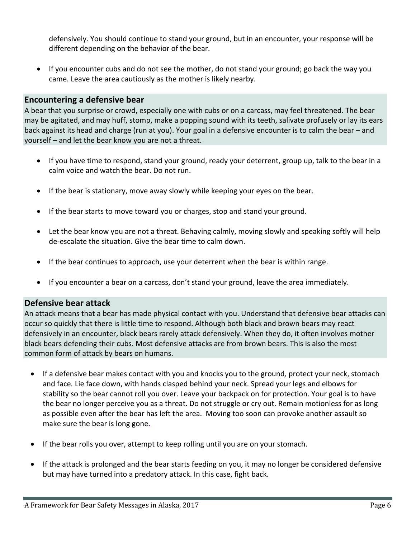defensively. You should continue to stand your ground, but in an encounter, your response will be different depending on the behavior of the bear.

 If you encounter cubs and do not see the mother, do not stand your ground; go back the way you came. Leave the area cautiously as the mother is likely nearby.

## **Encountering a defensive bear**

A bear that you surprise or crowd, especially one with cubs or on a carcass, may feel threatened. The bear may be agitated, and may huff, stomp, make a popping sound with its teeth, salivate profusely or lay its ears back against its head and charge (run at you). Your goal in a defensive encounter is to calm the bear – and yourself – and let the bear know you are not a threat.

- If you have time to respond, stand your ground, ready your deterrent, group up, talk to the bear in a calm voice and watch the bear. Do not run.
- If the bear is stationary, move away slowly while keeping your eyes on the bear.
- If the bear starts to move toward you or charges, stop and stand your ground.
- Let the bear know you are not a threat. Behaving calmly, moving slowly and speaking softly will help de‐escalate the situation. Give the bear time to calm down.
- If the bear continues to approach, use your deterrent when the bear is within range.
- If you encounter a bear on a carcass, don't stand your ground, leave the area immediately.

### **Defensive bear attack**

An attack means that a bear has made physical contact with you. Understand that defensive bear attacks can occur so quickly that there is little time to respond. Although both black and brown bears may react defensively in an encounter, black bears rarely attack defensively. When they do, it often involves mother black bears defending their cubs. Most defensive attacks are from brown bears. This is also the most common form of attack by bears on humans.

- If a defensive bear makes contact with you and knocks you to the ground*,* protect your neck, stomach and face*.* Lie face down, with hands clasped behind your neck. Spread your legs and elbows for stability so the bear cannot roll you over. Leave your backpack on for protection. Your goal is to have the bear no longer perceive you as a threat. Do not struggle or cry out. Remain motionless for as long as possible even after the bear has left the area. Moving too soon can provoke another assault so make sure the bear is long gone**.**
- If the bear rolls you over, attempt to keep rolling until you are on your stomach.
- If the attack is prolonged and the bear starts feeding on you, it may no longer be considered defensive but may have turned into a predatory attack. In this case, fight back.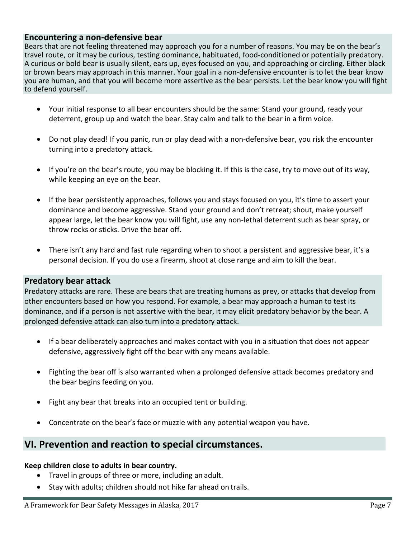### **Encountering a non‐defensive bear**

Bears that are not feeling threatened may approach you for a number of reasons. You may be on the bear's travel route, or it may be curious, testing dominance, habituated, food‐conditioned or potentially predatory. A curious or bold bear is usually silent, ears up, eyes focused on you, and approaching or circling. Either black or brown bears may approach in this manner. Your goal in a non‐defensive encounter is to let the bear know you are human, and that you will become more assertive as the bear persists. Let the bear know you will fight to defend yourself.

- Your initial response to all bear encounters should be the same: Stand your ground, ready your deterrent, group up and watch the bear. Stay calm and talk to the bear in a firm voice.
- Do not play dead! If you panic, run or play dead with a non-defensive bear, you risk the encounter turning into a predatory attack.
- If you're on the bear's route, you may be blocking it. If this is the case, try to move out of its way, while keeping an eye on the bear.
- If the bear persistently approaches, follows you and stays focused on you, it's time to assert your dominance and become aggressive. Stand your ground and don't retreat; shout, make yourself appear large, let the bear know you will fight, use any non‐lethal deterrent such as bear spray, or throw rocks or sticks. Drive the bear off.
- There isn't any hard and fast rule regarding when to shoot a persistent and aggressive bear, it's a personal decision. If you do use a firearm, shoot at close range and aim to kill the bear.

### **Predatory bear attack**

Predatory attacks are rare. These are bears that are treating humans as prey, or attacks that develop from other encounters based on how you respond. For example, a bear may approach a human to test its dominance, and if a person is not assertive with the bear, it may elicit predatory behavior by the bear. A prolonged defensive attack can also turn into a predatory attack.

- If a bear deliberately approaches and makes contact with you in a situation that does not appear defensive, aggressively fight off the bear with any means available.
- Fighting the bear off is also warranted when a prolonged defensive attack becomes predatory and the bear begins feeding on you.
- Fight any bear that breaks into an occupied tent or building.
- Concentrate on the bear's face or muzzle with any potential weapon you have.

# **VI. Prevention and reaction to special circumstances.**

#### **Keep children close to adults in bear country.**

- Travel in groups of three or more, including an adult.
- Stay with adults; children should not hike far ahead on trails.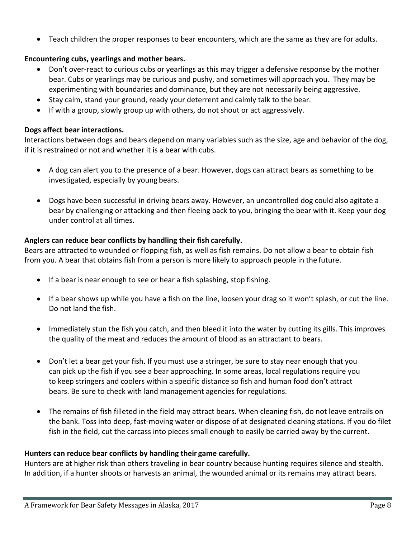Teach children the proper responses to bear encounters, which are the same as they are for adults.

## **Encountering cubs, yearlings and mother bears.**

- Don't over-react to curious cubs or yearlings as this may trigger a defensive response by the mother bear. Cubs or yearlings may be curious and pushy, and sometimes will approach you. They may be experimenting with boundaries and dominance, but they are not necessarily being aggressive.
- Stay calm, stand your ground, ready your deterrent and calmly talk to the bear.
- If with a group, slowly group up with others, do not shout or act aggressively.

### **Dogs affect bear interactions.**

Interactions between dogs and bears depend on many variables such as the size, age and behavior of the dog, if it is restrained or not and whether it is a bear with cubs.

- A dog can alert you to the presence of a bear. However, dogs can attract bears as something to be investigated, especially by young bears.
- Dogs have been successful in driving bears away. However, an uncontrolled dog could also agitate a bear by challenging or attacking and then fleeing back to you, bringing the bear with it. Keep your dog under control at all times.

#### **Anglers can reduce bear conflicts by handling their fish carefully.**

Bears are attracted to wounded or flopping fish, as well as fish remains. Do not allow a bear to obtain fish from you. A bear that obtains fish from a person is more likely to approach people in the future.

- If a bear is near enough to see or hear a fish splashing, stop fishing.
- If a bear shows up while you have a fish on the line, loosen your drag so it won't splash, or cut the line. Do not land the fish.
- Immediately stun the fish you catch, and then bleed it into the water by cutting its gills. This improves the quality of the meat and reduces the amount of blood as an attractant to bears.
- Don't let a bear get your fish. If you must use a stringer, be sure to stay near enough that you can pick up the fish if you see a bear approaching. In some areas, local regulations require you to keep stringers and coolers within a specific distance so fish and human food don't attract bears. Be sure to check with land management agencies for regulations.
- The remains of fish filleted in the field may attract bears. When cleaning fish, do not leave entrails on the bank. Toss into deep, fast-moving water or dispose of at designated cleaning stations. If you do filet fish in the field, cut the carcass into pieces small enough to easily be carried away by the current.

### **Hunters can reduce bear conflicts by handling their game carefully.**

Hunters are at higher risk than others traveling in bear country because hunting requires silence and stealth. In addition, if a hunter shoots or harvests an animal, the wounded animal or its remains may attract bears.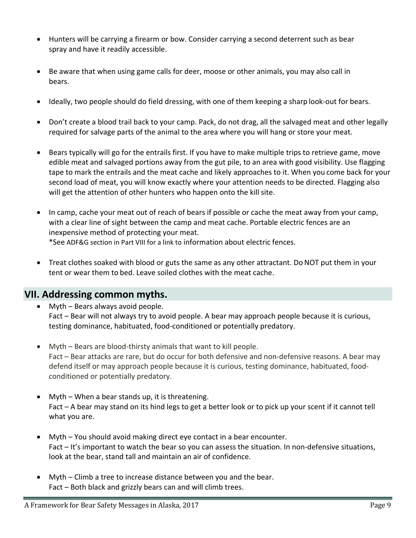- Hunters will be carrying a firearm or bow. Consider carrying a second deterrent such as bear spray and have it readily accessible.
- Be aware that when using game calls for deer, moose or other animals, you may also call in bears.
- Ideally, two people should do field dressing, with one of them keeping a sharp look‐out for bears.
- Don't create a blood trail back to your camp. Pack, do not drag, all the salvaged meat and other legally required for salvage parts of the animal to the area where you will hang or store your meat.
- Bears typically will go for the entrails first. If you have to make multiple trips to retrieve game, move edible meat and salvaged portions away from the gut pile, to an area with good visibility. Use flagging tape to mark the entrails and the meat cache and likely approaches to it. When you come back for your second load of meat, you will know exactly where your attention needs to be directed. Flagging also will get the attention of other hunters who happen onto the kill site.
- In camp, cache your meat out of reach of bears if possible or cache the meat away from your camp, with a clear line of sight between the camp and meat cache. Portable electric fences are an inexpensive method of protecting your meat. \*See ADF&G section in Part VIII for a link to information about electric fences.
- Treat clothes soaked with blood or guts the same as any other attractant. DoNOT put them in your tent or wear them to bed. Leave soiled clothes with the meat cache.

# **VII. Addressing common myths.**

- Myth Bears always avoid people. Fact – Bear will not always try to avoid people. A bear may approach people because it is curious, testing dominance, habituated, food‐conditioned or potentially predatory.
- Myth Bears are blood-thirsty animals that want to kill people. Fact – Bear attacks are rare, but do occur for both defensive and non-defensive reasons. A bear may defend itself or may approach people because it is curious, testing dominance, habituated, food‐ conditioned or potentially predatory.
- Myth When a bear stands up, it is threatening. Fact – A bear may stand on its hind legs to get a better look or to pick up your scent if it cannot tell what you are.
- Myth You should avoid making direct eye contact in a bear encounter. Fact – It's important to watch the bear so you can assess the situation. In non-defensive situations, look at the bear, stand tall and maintain an air of confidence.
- Myth Climb a tree to increase distance between you and the bear. Fact – Both black and grizzly bears can and will climb trees.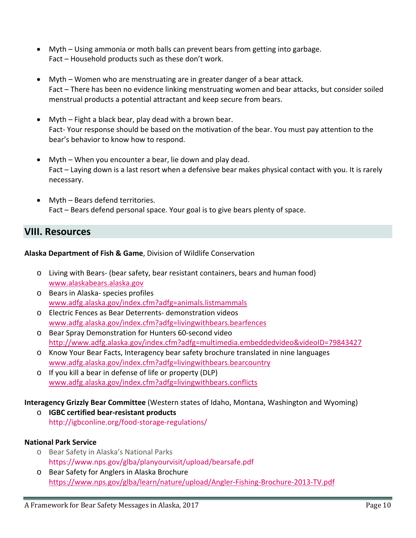- Myth Using ammonia or moth balls can prevent bears from getting into garbage. Fact – Household products such as these don't work.
- Myth Women who are menstruating are in greater danger of a bear attack. Fact – There has been no evidence linking menstruating women and bear attacks, but consider soiled menstrual products a potential attractant and keep secure from bears.
- Myth Fight a black bear, play dead with a brown bear. Fact-Your response should be based on the motivation of the bear. You must pay attention to the bear's behavior to know how to respond.
- Myth When you encounter a bear, lie down and play dead. Fact – Laying down is a last resort when a defensive bear makes physical contact with you. It is rarely necessary.
- Myth Bears defend territories. Fact – Bears defend personal space. Your goal is to give bears plenty of space.

# **VIII. Resources**

### **Alaska Department of Fish & Game**, Division of Wildlife Conservation

- o Living with Bears‐ (bear safety, bear resistant containers, bears and human food) www.alaskabears.alaska.gov
- o Bears in Alaska‐ species profiles www.adfg.alaska.gov/index.cfm?adfg=animals.listmammals
- o Electric Fences as Bear Deterrents‐ demonstration videos www.adfg.alaska.gov/index.cfm?adfg=livingwithbears.bearfences
- o Bear Spray Demonstration for Hunters 60‐second video http://www.adfg.alaska.gov/index.cfm?adfg=multimedia.embeddedvideo&videoID=79843427
- o Know Your Bear Facts, Interagency bear safety brochure translated in nine languages www.adfg.alaska.gov/index.cfm?adfg=livingwithbears.bearcountry
- o If you kill a bear in defense of life or property (DLP) www.adfg.alaska.gov/index.cfm?adfg=livingwithbears.conflicts

# **Interagency Grizzly Bear Committee** (Western states of Idaho, Montana, Washington and Wyoming)

o **IGBC certified bear‐resistant products** http://igbconline.org/food‐storage‐regulations/

# **National Park Service**

- o Bear Safety in Alaska's National Parks https://www.nps.gov/glba/planyourvisit/upload/bearsafe.pdf
- o Bear Safety for Anglers in Alaska Brochure https://www.nps.gov/glba/learn/nature/upload/Angler‐Fishing‐Brochure‐2013‐TV.pdf